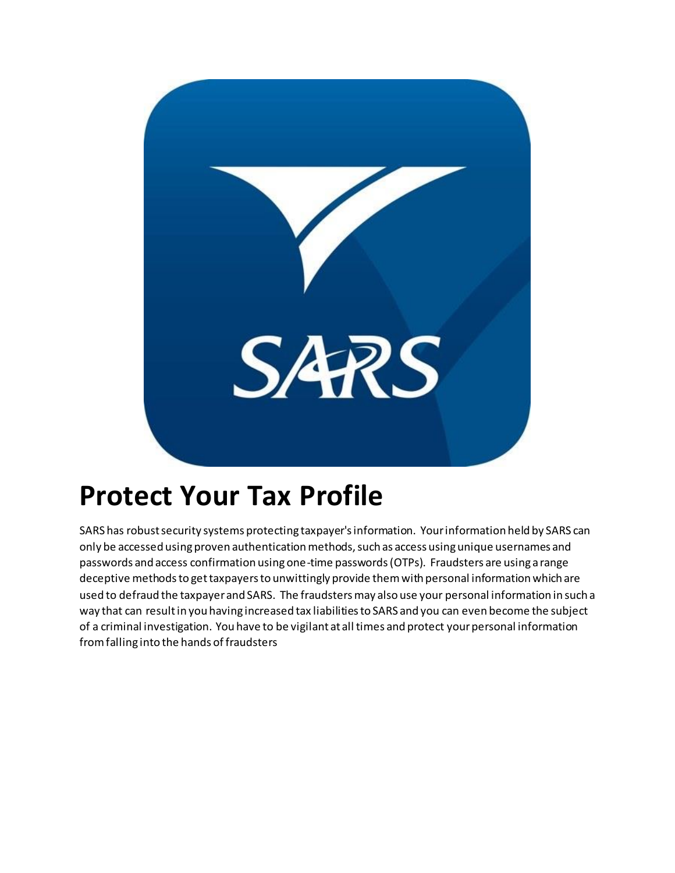

## **Protect Your Tax Profile**

SARS has robust security systems protecting taxpayer's information. Your information held by SARS can only be accessed using proven authentication methods, such as access using unique usernames and passwords and access confirmation using one-time passwords (OTPs). Fraudsters are using a range deceptive methods to get taxpayers to unwittingly provide them with personal information which are used to defraud the taxpayer and SARS. The fraudsters may also use your personal information in such a way that can result in you having increased tax liabilities to SARS and you can even become the subject of a criminal investigation. You have to be vigilant at all times and protect your personal information from falling into the hands of fraudsters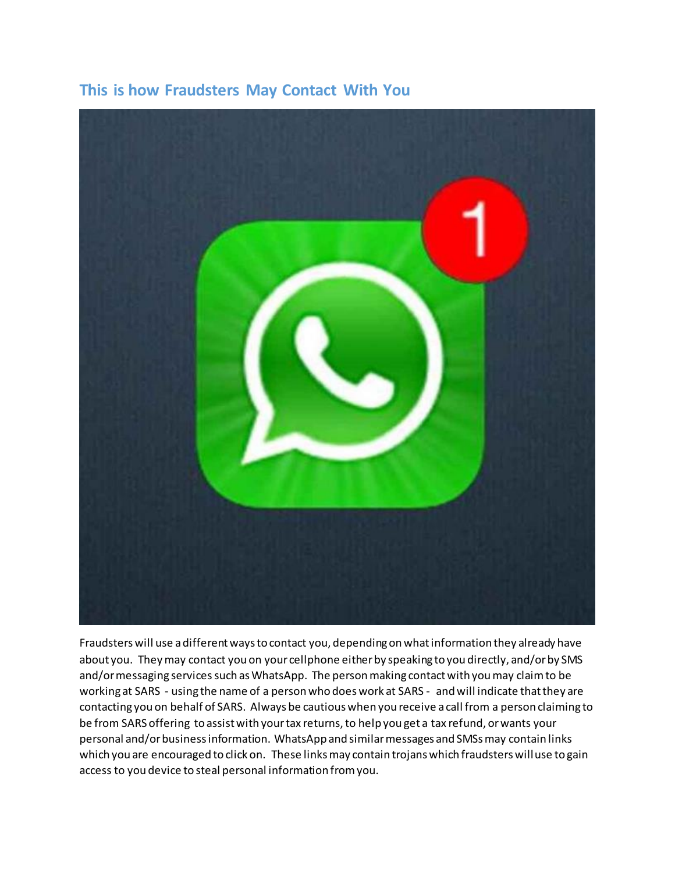

## **This is how Fraudsters May Contact With You**

Fraudsters will use a different ways to contact you, depending on what information they already have about you. They may contact you on your cellphone either by speaking to you directly, and/or by SMS and/or messaging services such as WhatsApp. The person making contact with you may claim to be working at SARS - using the name of a person who does work at SARS - and will indicate that they are contacting you on behalf of SARS. Always be cautious when you receive a call from a person claiming to be from SARS offering to assist with your tax returns, to help you get a tax refund, or wants your personal and/or business information. WhatsApp and similar messages and SMSs may contain links which you are encouraged to click on. These links may contain trojans which fraudsters will use to gain access to you device to steal personal information from you.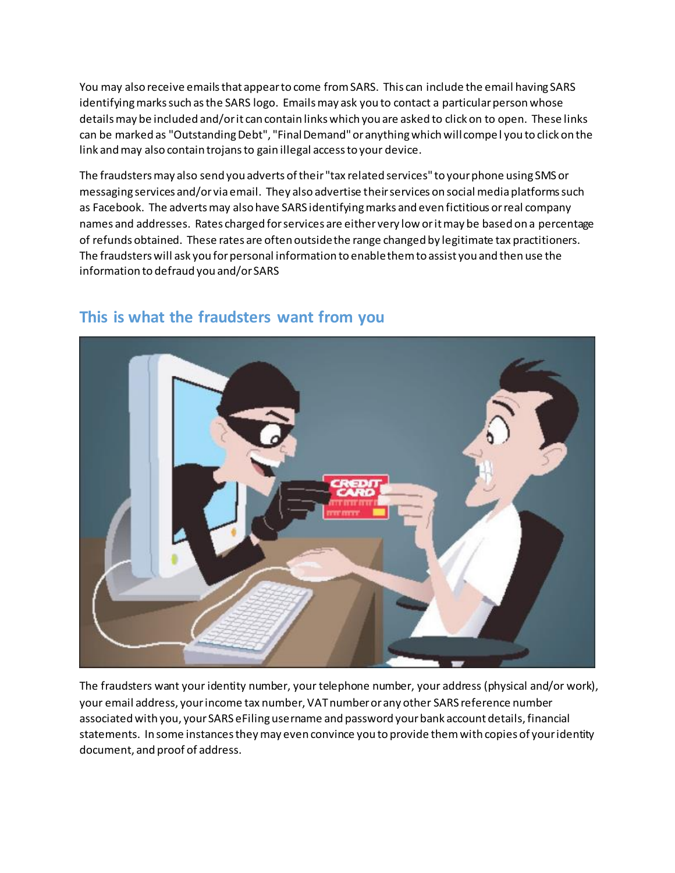You may also receive emails that appear to come from SARS. This can include the email having SARS identifying marks such as the SARS logo. Emails may ask you to contact a particular person whose details may be included and/or it can contain links which you are asked to click on to open. These links can be marked as "Outstanding Debt", "Final Demand" or anything which will compel you to click on the link and may also contain trojans to gain illegal access to your device.

The fraudsters may also send you adverts of their "tax related services" to your phone using SMS or messaging services and/or via email. They also advertise their services on social media platforms such as Facebook. The adverts may also have SARS identifying marks and even fictitious or real company names and addresses. Rates charged for services are either very low or it may be based on a percentage of refunds obtained. These rates are often outside the range changed by legitimate tax practitioners. The fraudsters will ask you for personal information to enable them to assist you and then use the information to defraud you and/or SARS



## **This is what the fraudsters want from you**

The fraudsters want your identity number, your telephone number, your address (physical and/or work), your email address, your income tax number, VAT number or any other SARS reference number associated with you, your SARS eFiling username and password your bank account details, financial statements. In some instances they may even convince you to provide them with copies of your identity document, and proof of address.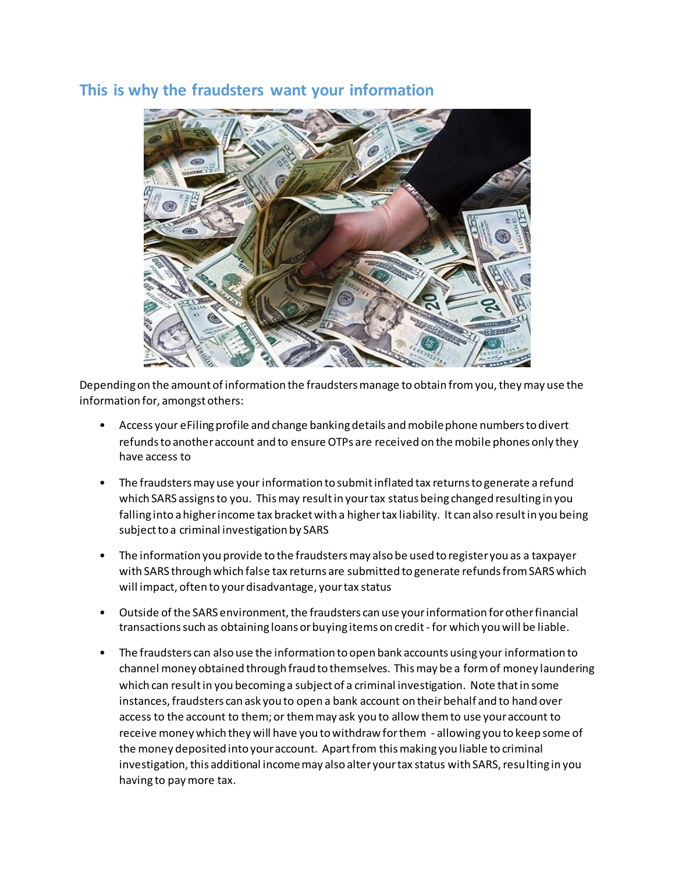## **This is why the fraudsters want your information**



Depending on the amount of information the fraudsters manage to obtain from you, they may use the information for, amongst others:

- Access your eFiling profile and change banking details and mobile phone numbers to divert refunds to another account and to ensure OTPs are received on the mobile phones only they have access to
- The fraudsters may use your information to submit inflated tax returns to generate a refund which SARS assigns to you. This may result in your tax status being changed resulting in you falling into a higher income tax bracket with a higher tax liability. It can also result in you being subject to a criminal investigation by SARS
- The information you provide to the fraudsters may also be used to register you as a taxpayer with SARS through which false tax returns are submitted to generate refunds from SARS which will impact, often to your disadvantage, your tax status
- Outside of the SARS environment, the fraudsters can use your information for other financial transactions such as obtaining loans or buying items on credit - for which you will be liable.
- The fraudsters can also use the information to open bank accounts using your information to channel money obtained through fraud to themselves. This may be a form of money laundering which can result in you becoming a subject of a criminal investigation. Note that in some instances, fraudsters can ask you to open a bank account on their behalf and to hand over access to the account to them; or them may ask you to allow them to use your account to receive money which they will have you to withdraw for them - allowing you to keep some of the money deposited into your account. Apart from this making you liable to criminal investigation, this additional income may also alter your tax status with SARS, resulting in you having to pay more tax.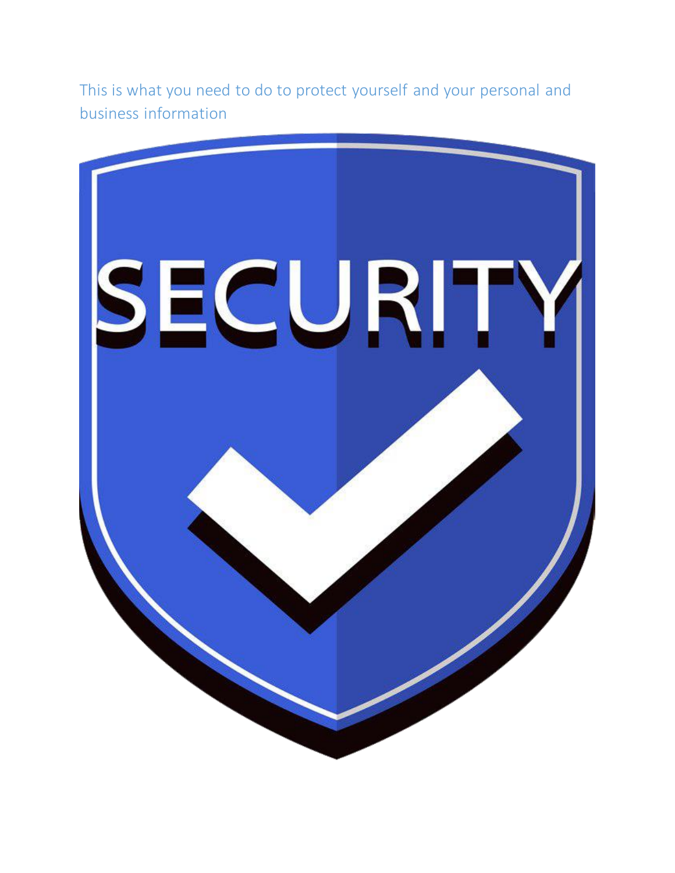This is what you need to do to protect yourself and your personal and business information